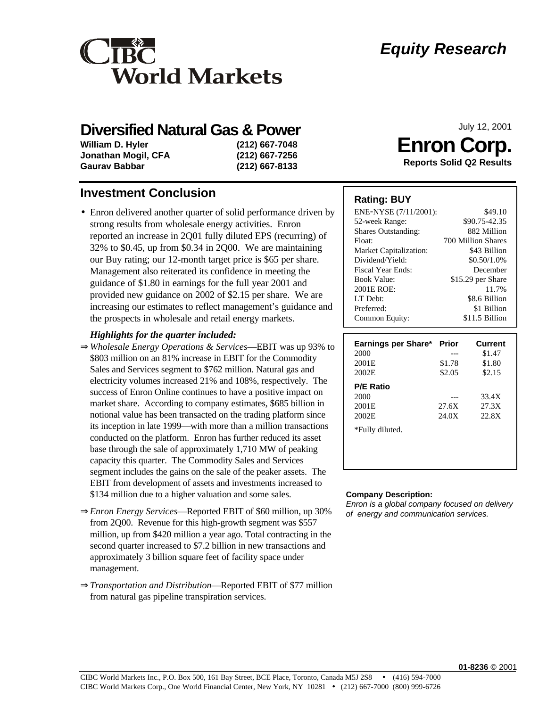

# *Equity Research*

# **Diversified Natural Gas & Power**

**William D. Hyler (212) 667-7048 Jonathan Mogil, CFA (212) 667-7256 Gaurav Babbar (212) 667-8133**

## **Investment Conclusion**

• Enron delivered another quarter of solid performance driven by strong results from wholesale energy activities. Enron reported an increase in 2Q01 fully diluted EPS (recurring) of 32% to \$0.45, up from \$0.34 in 2Q00. We are maintaining our Buy rating; our 12-month target price is \$65 per share. Management also reiterated its confidence in meeting the guidance of \$1.80 in earnings for the full year 2001 and provided new guidance on 2002 of \$2.15 per share. We are increasing our estimates to reflect management's guidance and the prospects in wholesale and retail energy markets.

#### *Highlights for the quarter included:*

- ⇒ *Wholesale Energy Operations & Services*—EBIT was up 93% to \$803 million on an 81% increase in EBIT for the Commodity Sales and Services segment to \$762 million. Natural gas and electricity volumes increased 21% and 108%, respectively. The success of Enron Online continues to have a positive impact on market share. According to company estimates, \$685 billion in notional value has been transacted on the trading platform since its inception in late 1999—with more than a million transactions conducted on the platform. Enron has further reduced its asset base through the sale of approximately 1,710 MW of peaking capacity this quarter. The Commodity Sales and Services segment includes the gains on the sale of the peaker assets. The EBIT from development of assets and investments increased to \$134 million due to a higher valuation and some sales.
- ⇒ *Enron Energy Services*—Reported EBIT of \$60 million, up 30% from 2Q00. Revenue for this high-growth segment was \$557 million, up from \$420 million a year ago. Total contracting in the second quarter increased to \$7.2 billion in new transactions and approximately 3 billion square feet of facility space under management.
- ⇒ *Transportation and Distribution*—Reported EBIT of \$77 million from natural gas pipeline transpiration services.

July 12, 2001

# **Enron Corp.**

**Reports Solid Q2 Results**

#### **Rating: BUY**

| ENE-NYSE (7/11/2001):         | \$49.10            |
|-------------------------------|--------------------|
| 52-week Range:                | \$90.75-42.35      |
| <b>Shares Outstanding:</b>    | 882 Million        |
| Float:                        | 700 Million Shares |
| <b>Market Capitalization:</b> | \$43 Billion       |
| Dividend/Yield:               | \$0.50/1.0%        |
| Fiscal Year Ends:             | December           |
| <b>Book Value:</b>            | \$15.29 per Share  |
| 2001E ROE:                    | 11.7%              |
| LT Debt:                      | \$8.6 Billion      |
| Preferred:                    | \$1 Billion        |
| Common Equity:                | \$11.5 Billion     |

| Earnings per Share*<br>2000 | <b>Prior</b> | Current<br>\$1.47 |
|-----------------------------|--------------|-------------------|
| 2001E                       | \$1.78       | \$1.80            |
| 2002E                       | \$2.05       | \$2.15            |
| <b>P/E Ratio</b>            |              |                   |
| 2000                        |              | 33.4X             |
| 2001E                       | 27.6X        | 27.3X             |
| 2002E                       | 24.0X        | 22.8X             |
| *Fully diluted.             |              |                   |
|                             |              |                   |
|                             |              |                   |
|                             |              |                   |

#### **Company Description:**

*Enron is a global company focused on delivery of energy and communication services.*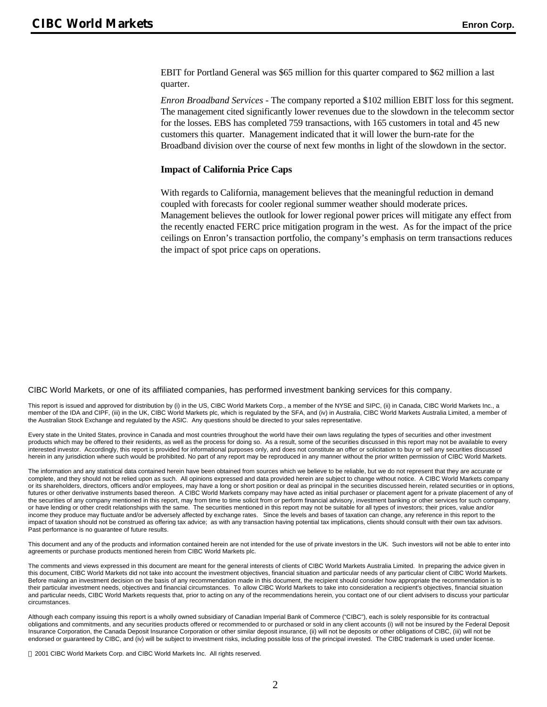EBIT for Portland General was \$65 million for this quarter compared to \$62 million a last quarter.

*Enron Broadband Services* - The company reported a \$102 million EBIT loss for this segment. The management cited significantly lower revenues due to the slowdown in the telecomm sector for the losses. EBS has completed 759 transactions, with 165 customers in total and 45 new customers this quarter. Management indicated that it will lower the burn-rate for the Broadband division over the course of next few months in light of the slowdown in the sector.

#### **Impact of California Price Caps**

With regards to California, management believes that the meaningful reduction in demand coupled with forecasts for cooler regional summer weather should moderate prices. Management believes the outlook for lower regional power prices will mitigate any effect from the recently enacted FERC price mitigation program in the west. As for the impact of the price ceilings on Enron's transaction portfolio, the company's emphasis on term transactions reduces the impact of spot price caps on operations.

CIBC World Markets, or one of its affiliated companies, has performed investment banking services for this company.

This report is issued and approved for distribution by (i) in the US, CIBC World Markets Corp., a member of the NYSE and SIPC, (ii) in Canada, CIBC World Markets Inc., a member of the IDA and CIPF, (iii) in the UK, CIBC World Markets plc, which is regulated by the SFA, and (iv) in Australia, CIBC World Markets Australia Limited, a member of the Australian Stock Exchange and regulated by the ASIC. Any questions should be directed to your sales representative.

Every state in the United States, province in Canada and most countries throughout the world have their own laws regulating the types of securities and other investment products which may be offered to their residents, as well as the process for doing so. As a result, some of the securities discussed in this report may not be available to every interested investor. Accordingly, this report is provided for informational purposes only, and does not constitute an offer or solicitation to buy or sell any securities discussed herein in any jurisdiction where such would be prohibited. No part of any report may be reproduced in any manner without the prior written permission of CIBC World Markets.

The information and any statistical data contained herein have been obtained from sources which we believe to be reliable, but we do not represent that they are accurate or complete, and they should not be relied upon as such. All opinions expressed and data provided herein are subject to change without notice. A CIBC World Markets company or its shareholders, directors, officers and/or employees, may have a long or short position or deal as principal in the securities discussed herein, related securities or in options, futures or other derivative instruments based thereon. A CIBC World Markets company may have acted as initial purchaser or placement agent for a private placement of any of the securities of any company mentioned in this report, may from time to time solicit from or perform financial advisory, investment banking or other services for such company, or have lending or other credit relationships with the same. The securities mentioned in this report may not be suitable for all types of investors; their prices, value and/or income they produce may fluctuate and/or be adversely affected by exchange rates. Since the levels and bases of taxation can change, any reference in this report to the impact of taxation should not be construed as offering tax advice; as with any transaction having potential tax implications, clients should consult with their own tax advisors. Past performance is no guarantee of future results.

This document and any of the products and information contained herein are not intended for the use of private investors in the UK. Such investors will not be able to enter into agreements or purchase products mentioned herein from CIBC World Markets plc.

The comments and views expressed in this document are meant for the general interests of clients of CIBC World Markets Australia Limited. In preparing the advice given in this document, CIBC World Markets did not take into account the investment objectives, financial situation and particular needs of any particular client of CIBC World Markets. Before making an investment decision on the basis of any recommendation made in this document, the recipient should consider how appropriate the recommendation is to their particular investment needs, objectives and financial circumstances. To allow CIBC World Markets to take into consideration a recipient's objectives, financial situation and particular needs, CIBC World Markets requests that, prior to acting on any of the recommendations herein, you contact one of our client advisers to discuss your particular circumstances.

Although each company issuing this report is a wholly owned subsidiary of Canadian Imperial Bank of Commerce ("CIBC"), each is solely responsible for its contractual obligations and commitments, and any securities products offered or recommended to or purchased or sold in any client accounts (i) will not be insured by the Federal Deposit Insurance Corporation, the Canada Deposit Insurance Corporation or other similar deposit insurance, (ii) will not be deposits or other obligations of CIBC, (iii) will not be endorsed or guaranteed by CIBC, and (iv) will be subject to investment risks, including possible loss of the principal invested. The CIBC trademark is used under license.

2001 CIBC World Markets Corp. and CIBC World Markets Inc. All rights reserved.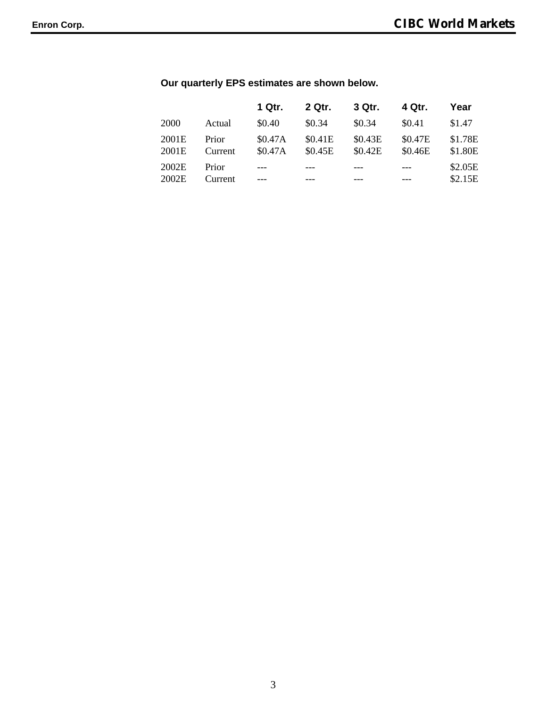### **Our quarterly EPS estimates are shown below.**

|                |                  | 1 Qtr.             | 2 Qtr.             | 3 Qtr.             | 4 Qtr.             | Year               |
|----------------|------------------|--------------------|--------------------|--------------------|--------------------|--------------------|
| 2000           | Actual           | \$0.40             | \$0.34             | \$0.34             | \$0.41             | \$1.47             |
| 2001E<br>2001E | Prior<br>Current | \$0.47A<br>\$0.47A | \$0.41E<br>\$0.45E | \$0.43E<br>\$0.42E | \$0.47E<br>\$0.46E | \$1.78E<br>\$1.80E |
| 2002E<br>2002E | Prior<br>Current |                    |                    |                    |                    | \$2.05E<br>\$2.15E |